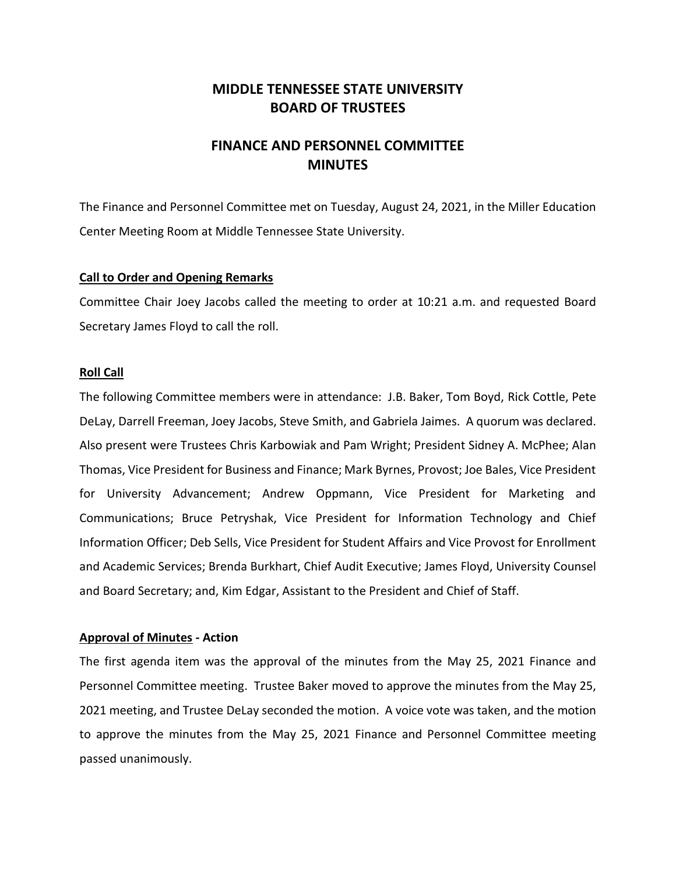# **MIDDLE TENNESSEE STATE UNIVERSITY BOARD OF TRUSTEES**

# **FINANCE AND PERSONNEL COMMITTEE MINUTES**

The Finance and Personnel Committee met on Tuesday, August 24, 2021, in the Miller Education Center Meeting Room at Middle Tennessee State University.

## **Call to Order and Opening Remarks**

Committee Chair Joey Jacobs called the meeting to order at 10:21 a.m. and requested Board Secretary James Floyd to call the roll.

## **Roll Call**

The following Committee members were in attendance: J.B. Baker, Tom Boyd, Rick Cottle, Pete DeLay, Darrell Freeman, Joey Jacobs, Steve Smith, and Gabriela Jaimes. A quorum was declared. Also present were Trustees Chris Karbowiak and Pam Wright; President Sidney A. McPhee; Alan Thomas, Vice President for Business and Finance; Mark Byrnes, Provost; Joe Bales, Vice President for University Advancement; Andrew Oppmann, Vice President for Marketing and Communications; Bruce Petryshak, Vice President for Information Technology and Chief Information Officer; Deb Sells, Vice President for Student Affairs and Vice Provost for Enrollment and Academic Services; Brenda Burkhart, Chief Audit Executive; James Floyd, University Counsel and Board Secretary; and, Kim Edgar, Assistant to the President and Chief of Staff.

# **Approval of Minutes - Action**

The first agenda item was the approval of the minutes from the May 25, 2021 Finance and Personnel Committee meeting. Trustee Baker moved to approve the minutes from the May 25, 2021 meeting, and Trustee DeLay seconded the motion. A voice vote was taken, and the motion to approve the minutes from the May 25, 2021 Finance and Personnel Committee meeting passed unanimously.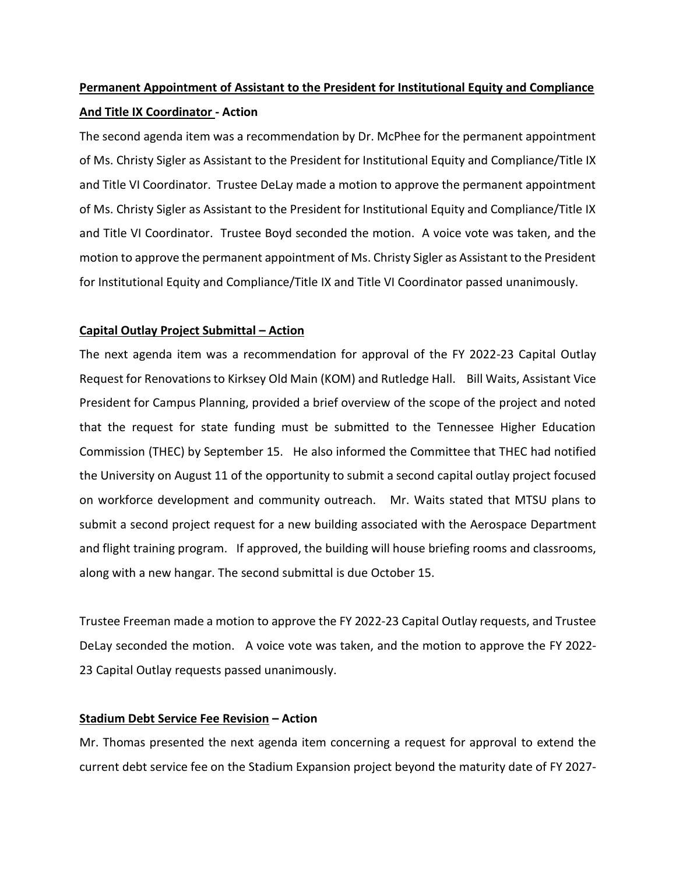# **Permanent Appointment of Assistant to the President for Institutional Equity and Compliance And Title IX Coordinator - Action**

The second agenda item was a recommendation by Dr. McPhee for the permanent appointment of Ms. Christy Sigler as Assistant to the President for Institutional Equity and Compliance/Title IX and Title VI Coordinator. Trustee DeLay made a motion to approve the permanent appointment of Ms. Christy Sigler as Assistant to the President for Institutional Equity and Compliance/Title IX and Title VI Coordinator. Trustee Boyd seconded the motion. A voice vote was taken, and the motion to approve the permanent appointment of Ms. Christy Sigler as Assistant to the President for Institutional Equity and Compliance/Title IX and Title VI Coordinator passed unanimously.

# **Capital Outlay Project Submittal – Action**

The next agenda item was a recommendation for approval of the FY 2022-23 Capital Outlay Request for Renovations to Kirksey Old Main (KOM) and Rutledge Hall. Bill Waits, Assistant Vice President for Campus Planning, provided a brief overview of the scope of the project and noted that the request for state funding must be submitted to the Tennessee Higher Education Commission (THEC) by September 15. He also informed the Committee that THEC had notified the University on August 11 of the opportunity to submit a second capital outlay project focused on workforce development and community outreach. Mr. Waits stated that MTSU plans to submit a second project request for a new building associated with the Aerospace Department and flight training program. If approved, the building will house briefing rooms and classrooms, along with a new hangar. The second submittal is due October 15.

Trustee Freeman made a motion to approve the FY 2022-23 Capital Outlay requests, and Trustee DeLay seconded the motion. A voice vote was taken, and the motion to approve the FY 2022- 23 Capital Outlay requests passed unanimously.

# **Stadium Debt Service Fee Revision – Action**

Mr. Thomas presented the next agenda item concerning a request for approval to extend the current debt service fee on the Stadium Expansion project beyond the maturity date of FY 2027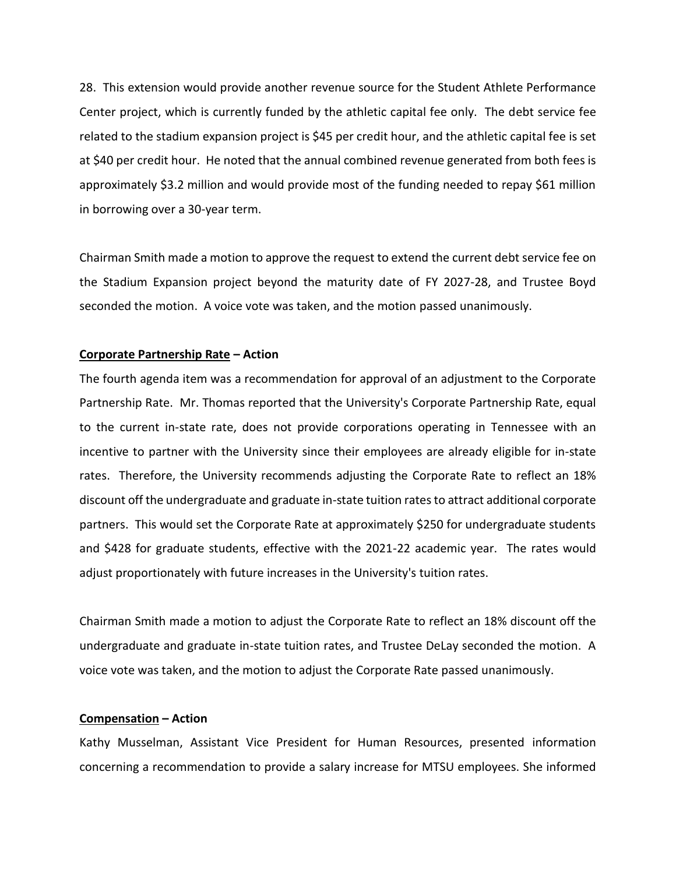28. This extension would provide another revenue source for the Student Athlete Performance Center project, which is currently funded by the athletic capital fee only. The debt service fee related to the stadium expansion project is \$45 per credit hour, and the athletic capital fee is set at \$40 per credit hour. He noted that the annual combined revenue generated from both fees is approximately \$3.2 million and would provide most of the funding needed to repay \$61 million in borrowing over a 30-year term.

Chairman Smith made a motion to approve the request to extend the current debt service fee on the Stadium Expansion project beyond the maturity date of FY 2027-28, and Trustee Boyd seconded the motion. A voice vote was taken, and the motion passed unanimously.

#### **Corporate Partnership Rate – Action**

The fourth agenda item was a recommendation for approval of an adjustment to the Corporate Partnership Rate. Mr. Thomas reported that the University's Corporate Partnership Rate, equal to the current in-state rate, does not provide corporations operating in Tennessee with an incentive to partner with the University since their employees are already eligible for in-state rates. Therefore, the University recommends adjusting the Corporate Rate to reflect an 18% discount off the undergraduate and graduate in-state tuition ratesto attract additional corporate partners. This would set the Corporate Rate at approximately \$250 for undergraduate students and \$428 for graduate students, effective with the 2021-22 academic year. The rates would adjust proportionately with future increases in the University's tuition rates.

Chairman Smith made a motion to adjust the Corporate Rate to reflect an 18% discount off the undergraduate and graduate in-state tuition rates, and Trustee DeLay seconded the motion. A voice vote was taken, and the motion to adjust the Corporate Rate passed unanimously.

#### **Compensation – Action**

Kathy Musselman, Assistant Vice President for Human Resources, presented information concerning a recommendation to provide a salary increase for MTSU employees. She informed